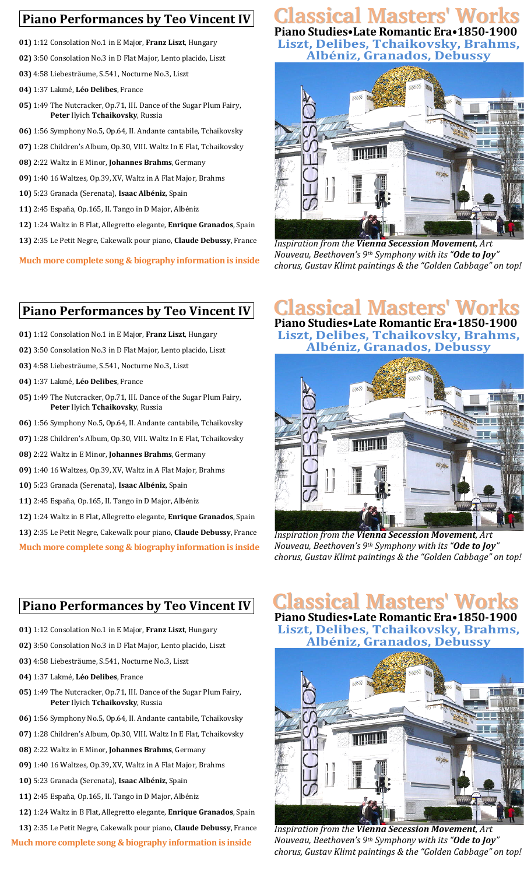## **Piano Performances by Teo Vincent IV**

- **01)** 1:12 Consolation No.1 in E Major, **Franz Liszt**, Hungary
- **02)** 3:50 Consolation No.3 in D Flat Major, Lento placido, Liszt
- **03)** 4:58 Liebesträume, S.541, Nocturne No.3, Liszt
- **04)** 1:37 Lakmé, **Léo Delibes**, France
- **05)** 1:49 The Nutcracker, Op.71, III. Dance of the Sugar Plum Fairy, **Peter** Ilyich **Tchaikovsky**, Russia
- **06)** 1:56 Symphony No.5, Op.64, II. Andante cantabile, Tchaikovsky
- **07)** 1:28 Children's Album, Op.30, VIII. Waltz In E Flat, Tchaikovsky
- **08)** 2:22 Waltz in E Minor, **Johannes Brahms**, Germany
- **09)** 1:40 16 Waltzes, Op.39, XV, Waltz in A Flat Major, Brahms
- 10) 5:23 Granada (Serenata), Isaac Albéniz, Spain
- 11) 2:45 España, Op.165, II. Tango in D Major, Albéniz
- 12) 1:24 Waltz in B Flat, Allegretto elegante, *Enrique Granados*, Spain
- 13) 2:35 Le Petit Negre, Cakewalk pour piano, Claude Debussy, France

**Much more complete song & biography information is inside** 

#### **Piano Performances by Teo Vincent IV**

- **01)** 1:12 Consolation No.1 in E Major, **Franz Liszt**, Hungary
- **02)** 3:50 Consolation No.3 in D Flat Major, Lento placido, Liszt
- 03) 4:58 Liebesträume, S.541, Nocturne No.3, Liszt
- **04)** 1:37 Lakmé, **Léo Delibes**, France
- **05)** 1:49 The Nutcracker, Op.71, III. Dance of the Sugar Plum Fairy, **Peter** Ilyich **Tchaikovsky**, Russia
- 06) 1:56 Symphony No.5, Op.64, II. Andante cantabile, Tchaikovsky
- **07)** 1:28 Children's Album, Op.30, VIII. Waltz In E Flat, Tchaikovsky
- **08)** 2:22 Waltz in E Minor, **Johannes Brahms**, Germany
- **09)** 1:40 16 Waltzes, Op.39, XV, Waltz in A Flat Major, Brahms
- 10) 5:23 Granada (Serenata), Isaac Albéniz, Spain
- **11)** 2:45 España, Op.165, II. Tango in D Major, Albéniz
- 12) 1:24 Waltz in B Flat, Allegretto elegante, *Enrique Granados*, Spain
- 13) 2:35 Le Petit Negre, Cakewalk pour piano, Claude Debussy, France

**Much more complete song & biography information is inside** 

#### **Piano Performances by Teo Vincent IV**

- **01)** 1:12 Consolation No.1 in E Major, **Franz Liszt**, Hungary
- **02)** 3:50 Consolation No.3 in D Flat Major, Lento placido, Liszt
- 03) 4:58 Liebesträume, S.541, Nocturne No.3, Liszt
- **04)** 1:37 Lakmé, **Léo Delibes**, France
- **05)** 1:49 The Nutcracker, Op.71, III. Dance of the Sugar Plum Fairy, **Peter** Ilyich **Tchaikovsky**, Russia
- 06) 1:56 Symphony No.5, Op.64, II. Andante cantabile, Tchaikovsky
- **07)** 1:28 Children's Album, Op.30, VIII. Waltz In E Flat, Tchaikovsky
- **08)** 2:22 Waltz in E Minor, **Johannes Brahms**, Germany
- **09)** 1:40 16 Waltzes, Op.39, XV, Waltz in A Flat Major, Brahms
- 10) 5:23 Granada (Serenata), Isaac Albéniz, Spain
- 11) 2:45 España, Op.165, II. Tango in D Major, Albéniz
- 12) 1:24 Waltz in B Flat, Allegretto elegante, *Enrique Granados*, Spain
- 13) 2:35 Le Petit Negre, Cakewalk pour piano, Claude Debussy, France

**Much more complete song & biography information is inside** 

### **Piano Studies•Late Romantic Era•1850-1900 Classical Masters' Works**

Liszt, Delibes, Tchaikovsky, Brahms, **Albéniz, Granados, Debussy**



*Inspiration from the Vienna Secession Movement, Art Nouveau, Beethoven's* 9<sup>th</sup> *Symphony with its* "Ode to Joy" *chorus, Gustav Klimt paintings & the "Golden Cabbage" on top!* 

# **Classical Masters' Works**

**Piano Studies•Late Romantic Era•1850-1900** Liszt, Delibes, Tchaikovsky, Brahms, **Albéniz, Granados, Debussy**



*Inspiration from the Vienna Secession Movement, Art Nouveau, Beethoven's* 9<sup>th</sup> *Symphony with its* "Ode to Joy" *chorus, Gustav Klimt paintings & the "Golden Cabbage" on top!*

## **Piano Studies•Late Romantic Era•1850-1900 Classical Masters' Works**

Liszt, Delibes, Tchaikovsky, Brahms, **Albéniz, Granados, Debussy**



*Inspiration from the Vienna Secession Movement, Art Nouveau, Beethoven's* 9<sup>th</sup> *Symphony with its* "Ode to Joy" *chorus, Gustav Klimt paintings & the "Golden Cabbage" on top!*